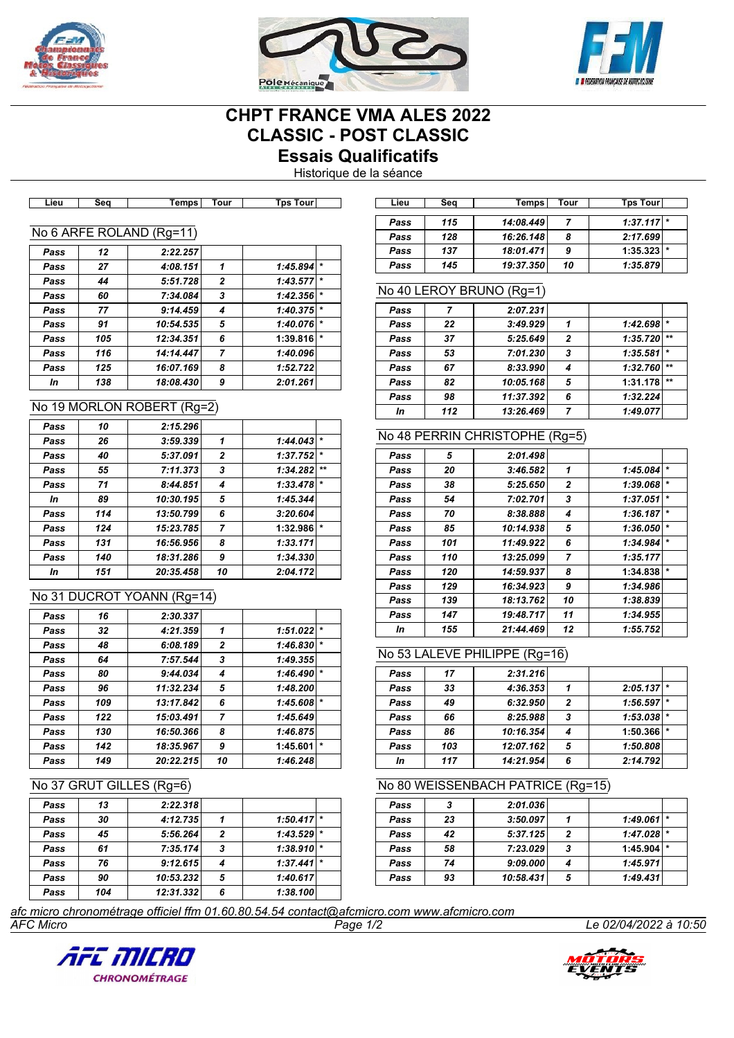





# **CHPT FRANCE VMA ALES 2022 CLASSIC - POST CLASSIC Essais Qualificatifs**

Historique de la séance

| ∟ıeu | әеч | <b>Temps</b>             | ı our          | <b>IDS TOUT</b>     |
|------|-----|--------------------------|----------------|---------------------|
|      |     |                          |                |                     |
|      |     | No 6 ARFE ROLAND (Rg=11) |                |                     |
| Pass | 12  | 2:22.257                 |                |                     |
| Pass | 27  | 4:08.151                 | 1              | $\star$<br>1:45.894 |
| Pass | 44  | 5:51.728                 | $\overline{2}$ | $\star$<br>1:43.577 |
| Pass | 60  | 7:34.084                 | 3              | $\star$<br>1:42.356 |
| Pass | 77  | 9:14.459                 | 4              | *<br>1:40.375       |
| Pass | 91  | 10:54.535                | 5              | $\star$<br>1:40.076 |
| Pass | 105 | 12:34.351                | 6              | $\star$<br>1:39.816 |
| Pass | 116 | 14:14.447                | 7              | 1:40.096            |
| Pass | 125 | 16:07.169                | 8              | 1:52.722            |
| In   | 138 | 18:08.430                | 9              | 2:01.261            |
|      |     |                          |                |                     |

#### No 19 MORLON ROBERT (Rg=2)

| Pass | 10  | 2:15.296  |                |          |         |
|------|-----|-----------|----------------|----------|---------|
| Pass | 26  | 3:59.339  | 1              | 1:44.043 |         |
| Pass | 40  | 5:37.091  | $\overline{2}$ | 1:37.752 | $\star$ |
| Pass | 55  | 7:11.373  | 3              | 1:34.282 | $***$   |
| Pass | 71  | 8:44.851  | 4              | 1:33.478 |         |
| In   | 89  | 10:30.195 | 5              | 1:45.344 |         |
| Pass | 114 | 13:50.799 | 6              | 3:20.604 |         |
| Pass | 124 | 15:23.785 | 7              | 1:32.986 |         |
| Pass | 131 | 16:56.956 | 8              | 1:33.171 |         |
| Pass | 140 | 18:31.286 | 9              | 1:34.330 |         |
| In   | 151 | 20:35.458 | 10             | 2:04.172 |         |

### No 31 DUCROT YOANN (Rg=14)

| Pass | 16  | 2:30.337  |                |          |         |
|------|-----|-----------|----------------|----------|---------|
| Pass | 32  | 4:21.359  | 1              | 1:51.022 | $\star$ |
| Pass | 48  | 6:08.189  | $\mathbf{z}$   | 1:46.830 | $\star$ |
| Pass | 64  | 7:57.544  | 3              | 1:49.355 |         |
| Pass | 80  | 9:44.034  | 4              | 1:46.490 | $\star$ |
| Pass | 96  | 11:32.234 | 5              | 1:48.200 |         |
| Pass | 109 | 13:17.842 | 6              | 1:45.608 | $\star$ |
| Pass | 122 | 15:03.491 | $\overline{7}$ | 1:45.649 |         |
| Pass | 130 | 16:50.366 | 8              | 1:46.875 |         |
| Pass | 142 | 18:35.967 | 9              | 1:45.601 | $\star$ |
| Pass | 149 | 20:22.215 | 10             | 1:46.248 |         |

#### No 37 GRUT GILLES (Rg=6)

| Pass | 13  | 2:22.318  |                |                     |  |
|------|-----|-----------|----------------|---------------------|--|
| Pass | 30  | 4:12.735  |                | $\star$<br>1:50.417 |  |
| Pass | 45  | 5:56.264  | $\overline{2}$ | ∗<br>1:43.529       |  |
| Pass | 61  | 7:35.174  | 3              | ∗<br>1:38.910       |  |
| Pass | 76  | 9:12.615  |                | $\star$<br>1:37.441 |  |
| Pass | 90  | 10:53.232 | 5              | 1:40.617            |  |
| Pass | 104 | 12:31.332 | 6              | 1:38.100            |  |

| Lieu | Seq | Temps l               | Tour | <b>Tps Tourl</b> |  | Lieu | Sea | Temps l   | Tour      | <b>Tps Tourl</b> |  |
|------|-----|-----------------------|------|------------------|--|------|-----|-----------|-----------|------------------|--|
|      |     |                       |      |                  |  |      |     |           |           |                  |  |
|      |     |                       |      |                  |  | Pass | 115 | 14:08.449 |           | $1:37.117$ *     |  |
|      |     | 6 ARFE ROLAND (Rq=11) |      |                  |  | Pass | 128 | 16:26.148 | $\bullet$ | 2:17.699         |  |
| Pass | 12  | 2:22.257              |      |                  |  | Pass | 137 | 18:01.471 | Ω         | $1:35.323$ $*$   |  |
| Pass | 27  | 4:08.151              |      | $1:45.894$ *     |  | Pass | 145 | 19:37.350 | 10        | 1:35.879         |  |

#### No 40 LEROY BRUNO (Rg=1)

| Pass |     | 2:07.231  |   |          |         |
|------|-----|-----------|---|----------|---------|
| Pass | 22  | 3:49.929  |   | 1:42.698 | $\star$ |
| Pass | 37  | 5:25.649  | 2 | 1:35.720 | $**$    |
| Pass | 53  | 7:01.230  | 3 | 1:35.581 | $\star$ |
| Pass | 67  | 8:33.990  |   | 1:32.760 | $***$   |
| Pass | 82  | 10:05.168 | 5 | 1:31.178 | $***$   |
| Pass | 98  | 11:37.392 | 6 | 1:32.224 |         |
| In   | 112 | 13:26.469 |   | 1:49.077 |         |

#### No 48 PERRIN CHRISTOPHE (Rg=5)

| Pass | 5   | 2:01.498  |                |          |         |
|------|-----|-----------|----------------|----------|---------|
| Pass | 20  | 3:46.582  | 1              | 1:45.084 | $\star$ |
| Pass | 38  | 5:25.650  | $\mathbf{2}$   | 1:39.068 | $\star$ |
| Pass | 54  | 7:02.701  | 3              | 1:37.051 | $\star$ |
| Pass | 70  | 8:38.888  | 4              | 1:36.187 | $\star$ |
| Pass | 85  | 10:14.938 | 5              | 1:36.050 | $\star$ |
| Pass | 101 | 11:49.922 | 6              | 1:34.984 | $\star$ |
| Pass | 110 | 13:25.099 | $\overline{7}$ | 1:35.177 |         |
| Pass | 120 | 14:59.937 | 8              | 1:34.838 | $\star$ |
| Pass | 129 | 16:34.923 | 9              | 1:34.986 |         |
| Pass | 139 | 18:13.762 | 10             | 1:38.839 |         |
| Pass | 147 | 19:48.717 | 11             | 1:34.955 |         |
| In   | 155 | 21:44.469 | 12             | 1:55.752 |         |

#### No 53 LALEVE PHILIPPE (Rg=16)

| Pass | 17  | 2:31.216  |   |              |         |
|------|-----|-----------|---|--------------|---------|
| Pass | 33  | 4:36.353  |   | $2:05.137$ * |         |
| Pass | 49  | 6:32.950  | 2 | 1:56.597     | $\star$ |
| Pass | 66  | 8:25.988  | 3 | 1:53.038     |         |
| Pass | 86  | 10:16.354 | 4 | 1:50.366     |         |
| Pass | 103 | 12:07.162 | 5 | 1:50.808     |         |
| In   | 117 | 14:21.954 | 6 | 2:14.792     |         |

#### No 80 WEISSENBACH PATRICE (Rg=15)

| Pass | 3  | 2:01.036  |   |                |  |
|------|----|-----------|---|----------------|--|
| Pass | 23 | 3:50.097  |   | $1:49.061$ *   |  |
| Pass | 42 | 5:37.125  | 2 | $1:47.028$  *  |  |
| Pass | 58 | 7:23.029  | 3 | $1:45.904$ $*$ |  |
| Pass | 74 | 9:09.000  |   | 1:45.971       |  |
| Pass | 93 | 10:58.431 | 5 | 1:49.431       |  |

*AFC Micro Page 1/2 Le 02/04/2022 à 10:50 afc micro chronométrage officiel ffm 01.60.80.54.54 contact@afcmicro.com www.afcmicro.com*